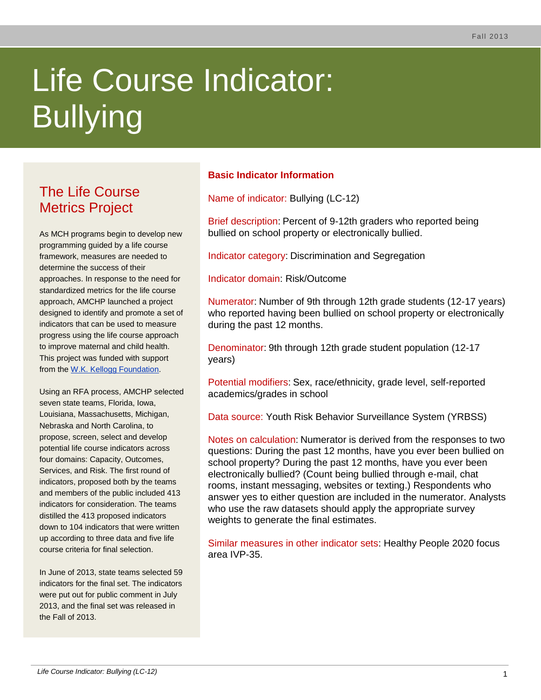# Life Course Indicator: Bullying

# The Life Course Metrics Project

As MCH programs begin to develop new programming guided by a life course framework, measures are needed to determine the success of their approaches. In response to the need for standardized metrics for the life course approach, AMCHP launched a project designed to identify and promote a set of indicators that can be used to measure progress using the life course approach to improve maternal and child health. This project was funded with support from the [W.K. Kellogg Foundation.](http://www.wkkf.org/)

Using an RFA process, AMCHP selected seven state teams, Florida, Iowa, Louisiana, Massachusetts, Michigan, Nebraska and North Carolina, to propose, screen, select and develop potential life course indicators across four domains: Capacity, Outcomes, Services, and Risk. The first round of indicators, proposed both by the teams and members of the public included 413 indicators for consideration. The teams distilled the 413 proposed indicators down to 104 indicators that were written up according to three data and five life course criteria for final selection.

In June of 2013, state teams selected 59 indicators for the final set. The indicators were put out for public comment in July 2013, and the final set was released in the Fall of 2013.

## **Basic Indicator Information**

Name of indicator: Bullying (LC-12)

Brief description: Percent of 9-12th graders who reported being bullied on school property or electronically bullied.

Indicator category: Discrimination and Segregation

Indicator domain: Risk/Outcome

Numerator: Number of 9th through 12th grade students (12-17 years) who reported having been bullied on school property or electronically during the past 12 months.

Denominator: 9th through 12th grade student population (12-17 years)

Potential modifiers: Sex, race/ethnicity, grade level, self-reported academics/grades in school

Data source: Youth Risk Behavior Surveillance System (YRBSS)

Notes on calculation: Numerator is derived from the responses to two questions: During the past 12 months, have you ever been bullied on school property? During the past 12 months, have you ever been electronically bullied? (Count being bullied through e-mail, chat rooms, instant messaging, websites or texting.) Respondents who answer yes to either question are included in the numerator. Analysts who use the raw datasets should apply the appropriate survey weights to generate the final estimates.

Similar measures in other indicator sets: Healthy People 2020 focus area IVP-35.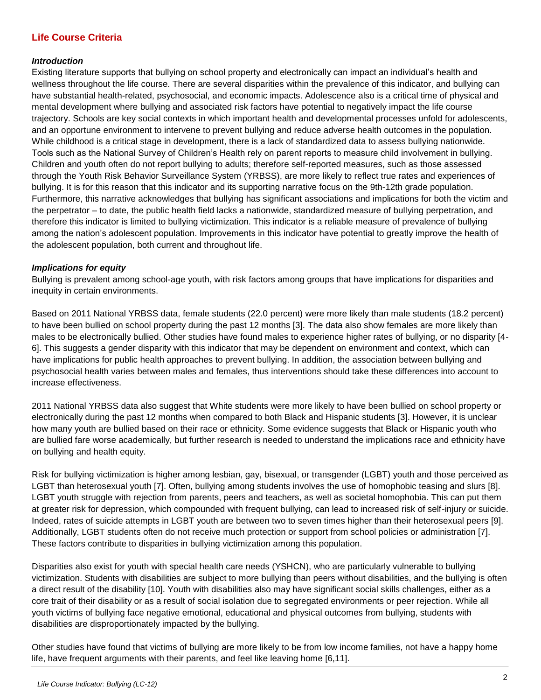### **Life Course Criteria**

#### *Introduction*

Existing literature supports that bullying on school property and electronically can impact an individual's health and wellness throughout the life course. There are several disparities within the prevalence of this indicator, and bullying can have substantial health-related, psychosocial, and economic impacts. Adolescence also is a critical time of physical and mental development where bullying and associated risk factors have potential to negatively impact the life course trajectory. Schools are key social contexts in which important health and developmental processes unfold for adolescents, and an opportune environment to intervene to prevent bullying and reduce adverse health outcomes in the population. While childhood is a critical stage in development, there is a lack of standardized data to assess bullying nationwide. Tools such as the National Survey of Children's Health rely on parent reports to measure child involvement in bullying. Children and youth often do not report bullying to adults; therefore self-reported measures, such as those assessed through the Youth Risk Behavior Surveillance System (YRBSS), are more likely to reflect true rates and experiences of bullying. It is for this reason that this indicator and its supporting narrative focus on the 9th-12th grade population. Furthermore, this narrative acknowledges that bullying has significant associations and implications for both the victim and the perpetrator – to date, the public health field lacks a nationwide, standardized measure of bullying perpetration, and therefore this indicator is limited to bullying victimization. This indicator is a reliable measure of prevalence of bullying among the nation's adolescent population. Improvements in this indicator have potential to greatly improve the health of the adolescent population, both current and throughout life.

#### *Implications for equity*

Bullying is prevalent among school-age youth, with risk factors among groups that have implications for disparities and inequity in certain environments.

Based on 2011 National YRBSS data, female students (22.0 percent) were more likely than male students (18.2 percent) to have been bullied on school property during the past 12 months [3]. The data also show females are more likely than males to be electronically bullied. Other studies have found males to experience higher rates of bullying, or no disparity [4- 6]. This suggests a gender disparity with this indicator that may be dependent on environment and context, which can have implications for public health approaches to prevent bullying. In addition, the association between bullying and psychosocial health varies between males and females, thus interventions should take these differences into account to increase effectiveness.

2011 National YRBSS data also suggest that White students were more likely to have been bullied on school property or electronically during the past 12 months when compared to both Black and Hispanic students [3]. However, it is unclear how many youth are bullied based on their race or ethnicity. Some evidence suggests that Black or Hispanic youth who are bullied fare worse academically, but further research is needed to understand the implications race and ethnicity have on bullying and health equity.

Risk for bullying victimization is higher among lesbian, gay, bisexual, or transgender (LGBT) youth and those perceived as LGBT than heterosexual youth [7]. Often, bullying among students involves the use of homophobic teasing and slurs [8]. LGBT youth struggle with rejection from parents, peers and teachers, as well as societal homophobia. This can put them at greater risk for depression, which compounded with frequent bullying, can lead to increased risk of self-injury or suicide. Indeed, rates of suicide attempts in LGBT youth are between two to seven times higher than their heterosexual peers [9]. Additionally, LGBT students often do not receive much protection or support from school policies or administration [7]. These factors contribute to disparities in bullying victimization among this population.

Disparities also exist for youth with special health care needs (YSHCN), who are particularly vulnerable to bullying victimization. Students with disabilities are subject to more bullying than peers without disabilities, and the bullying is often a direct result of the disability [10]. Youth with disabilities also may have significant social skills challenges, either as a core trait of their disability or as a result of social isolation due to segregated environments or peer rejection. While all youth victims of bullying face negative emotional, educational and physical outcomes from bullying, students with disabilities are disproportionately impacted by the bullying.

Other studies have found that victims of bullying are more likely to be from low income families, not have a happy home life, have frequent arguments with their parents, and feel like leaving home [6,11].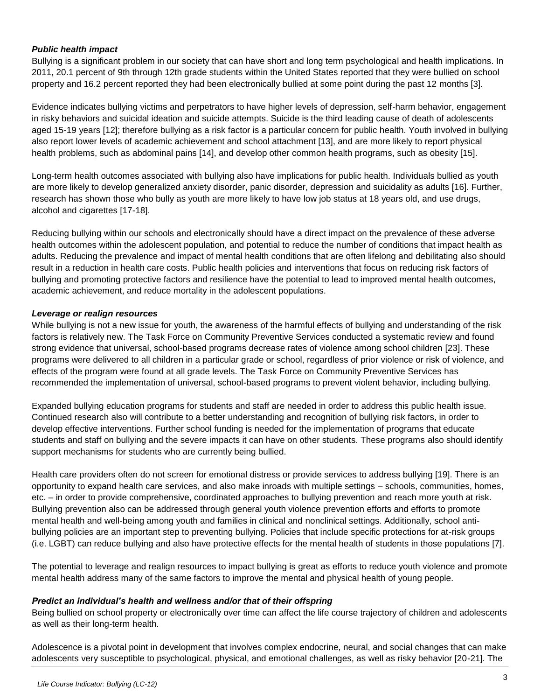#### *Public health impact*

Bullying is a significant problem in our society that can have short and long term psychological and health implications. In 2011, 20.1 percent of 9th through 12th grade students within the United States reported that they were bullied on school property and 16.2 percent reported they had been electronically bullied at some point during the past 12 months [3].

Evidence indicates bullying victims and perpetrators to have higher levels of depression, self-harm behavior, engagement in risky behaviors and suicidal ideation and suicide attempts. Suicide is the third leading cause of death of adolescents aged 15-19 years [12]; therefore bullying as a risk factor is a particular concern for public health. Youth involved in bullying also report lower levels of academic achievement and school attachment [13], and are more likely to report physical health problems, such as abdominal pains [14], and develop other common health programs, such as obesity [15].

Long-term health outcomes associated with bullying also have implications for public health. Individuals bullied as youth are more likely to develop generalized anxiety disorder, panic disorder, depression and suicidality as adults [16]. Further, research has shown those who bully as youth are more likely to have low job status at 18 years old, and use drugs, alcohol and cigarettes [17-18].

Reducing bullying within our schools and electronically should have a direct impact on the prevalence of these adverse health outcomes within the adolescent population, and potential to reduce the number of conditions that impact health as adults. Reducing the prevalence and impact of mental health conditions that are often lifelong and debilitating also should result in a reduction in health care costs. Public health policies and interventions that focus on reducing risk factors of bullying and promoting protective factors and resilience have the potential to lead to improved mental health outcomes, academic achievement, and reduce mortality in the adolescent populations.

#### *Leverage or realign resources*

While bullying is not a new issue for youth, the awareness of the harmful effects of bullying and understanding of the risk factors is relatively new. The Task Force on Community Preventive Services conducted a systematic review and found strong evidence that universal, school-based programs decrease rates of violence among school children [23]. These programs were delivered to all children in a particular grade or school, regardless of prior violence or risk of violence, and effects of the program were found at all grade levels. The Task Force on Community Preventive Services has recommended the implementation of universal, school-based programs to prevent violent behavior, including bullying.

Expanded bullying education programs for students and staff are needed in order to address this public health issue. Continued research also will contribute to a better understanding and recognition of bullying risk factors, in order to develop effective interventions. Further school funding is needed for the implementation of programs that educate students and staff on bullying and the severe impacts it can have on other students. These programs also should identify support mechanisms for students who are currently being bullied.

Health care providers often do not screen for emotional distress or provide services to address bullying [19]. There is an opportunity to expand health care services, and also make inroads with multiple settings – schools, communities, homes, etc. – in order to provide comprehensive, coordinated approaches to bullying prevention and reach more youth at risk. Bullying prevention also can be addressed through general youth violence prevention efforts and efforts to promote mental health and well-being among youth and families in clinical and nonclinical settings. Additionally, school antibullying policies are an important step to preventing bullying. Policies that include specific protections for at-risk groups (i.e. LGBT) can reduce bullying and also have protective effects for the mental health of students in those populations [7].

The potential to leverage and realign resources to impact bullying is great as efforts to reduce youth violence and promote mental health address many of the same factors to improve the mental and physical health of young people.

#### *Predict an individual's health and wellness and/or that of their offspring*

Being bullied on school property or electronically over time can affect the life course trajectory of children and adolescents as well as their long-term health.

Adolescence is a pivotal point in development that involves complex endocrine, neural, and social changes that can make adolescents very susceptible to psychological, physical, and emotional challenges, as well as risky behavior [20-21]. The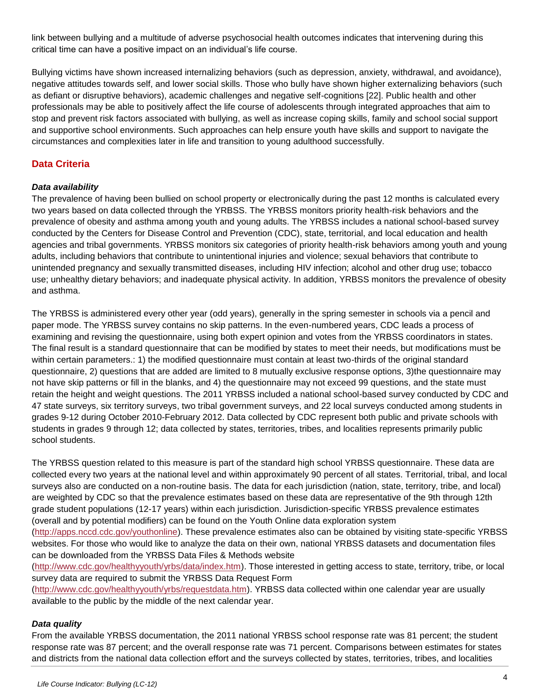link between bullying and a multitude of adverse psychosocial health outcomes indicates that intervening during this critical time can have a positive impact on an individual's life course.

Bullying victims have shown increased internalizing behaviors (such as depression, anxiety, withdrawal, and avoidance), negative attitudes towards self, and lower social skills. Those who bully have shown higher externalizing behaviors (such as defiant or disruptive behaviors), academic challenges and negative self-cognitions [22]. Public health and other professionals may be able to positively affect the life course of adolescents through integrated approaches that aim to stop and prevent risk factors associated with bullying, as well as increase coping skills, family and school social support and supportive school environments. Such approaches can help ensure youth have skills and support to navigate the circumstances and complexities later in life and transition to young adulthood successfully.

#### **Data Criteria**

#### *Data availability*

The prevalence of having been bullied on school property or electronically during the past 12 months is calculated every two years based on data collected through the YRBSS. The YRBSS monitors priority health-risk behaviors and the prevalence of obesity and asthma among youth and young adults. The YRBSS includes a national school-based survey conducted by the Centers for Disease Control and Prevention (CDC), state, territorial, and local education and health agencies and tribal governments. YRBSS monitors six categories of priority health-risk behaviors among youth and young adults, including behaviors that contribute to unintentional injuries and violence; sexual behaviors that contribute to unintended pregnancy and sexually transmitted diseases, including HIV infection; alcohol and other drug use; tobacco use; unhealthy dietary behaviors; and inadequate physical activity. In addition, YRBSS monitors the prevalence of obesity and asthma.

The YRBSS is administered every other year (odd years), generally in the spring semester in schools via a pencil and paper mode. The YRBSS survey contains no skip patterns. In the even-numbered years, CDC leads a process of examining and revising the questionnaire, using both expert opinion and votes from the YRBSS coordinators in states. The final result is a standard questionnaire that can be modified by states to meet their needs, but modifications must be within certain parameters.: 1) the modified questionnaire must contain at least two-thirds of the original standard questionnaire, 2) questions that are added are limited to 8 mutually exclusive response options, 3)the questionnaire may not have skip patterns or fill in the blanks, and 4) the questionnaire may not exceed 99 questions, and the state must retain the height and weight questions. The 2011 YRBSS included a national school-based survey conducted by CDC and 47 state surveys, six territory surveys, two tribal government surveys, and 22 local surveys conducted among students in grades 9-12 during October 2010-February 2012. Data collected by CDC represent both public and private schools with students in grades 9 through 12; data collected by states, territories, tribes, and localities represents primarily public school students.

The YRBSS question related to this measure is part of the standard high school YRBSS questionnaire. These data are collected every two years at the national level and within approximately 90 percent of all states. Territorial, tribal, and local surveys also are conducted on a non-routine basis. The data for each jurisdiction (nation, state, territory, tribe, and local) are weighted by CDC so that the prevalence estimates based on these data are representative of the 9th through 12th grade student populations (12-17 years) within each jurisdiction. Jurisdiction-specific YRBSS prevalence estimates (overall and by potential modifiers) can be found on the Youth Online data exploration system

[\(http://apps.nccd.cdc.gov/youthonline\)](http://apps.nccd.cdc.gov/youthonline). These prevalence estimates also can be obtained by visiting state-specific YRBSS websites. For those who would like to analyze the data on their own, national YRBSS datasets and documentation files can be downloaded from the YRBSS Data Files & Methods website

[\(http://www.cdc.gov/healthyyouth/yrbs/data/index.htm\)](http://www.cdc.gov/healthyyouth/yrbs/data/index.htm). Those interested in getting access to state, territory, tribe, or local survey data are required to submit the YRBSS Data Request Form

[\(http://www.cdc.gov/healthyyouth/yrbs/requestdata.htm\)](http://www.cdc.gov/healthyyouth/yrbs/requestdata.htm). YRBSS data collected within one calendar year are usually available to the public by the middle of the next calendar year.

#### *Data quality*

From the available YRBSS documentation, the 2011 national YRBSS school response rate was 81 percent; the student response rate was 87 percent; and the overall response rate was 71 percent. Comparisons between estimates for states and districts from the national data collection effort and the surveys collected by states, territories, tribes, and localities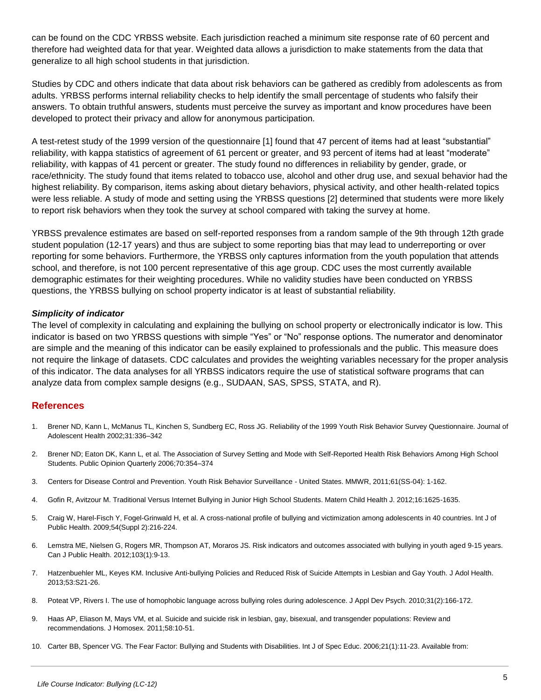can be found on the CDC YRBSS website. Each jurisdiction reached a minimum site response rate of 60 percent and therefore had weighted data for that year. Weighted data allows a jurisdiction to make statements from the data that generalize to all high school students in that jurisdiction.

Studies by CDC and others indicate that data about risk behaviors can be gathered as credibly from adolescents as from adults. YRBSS performs internal reliability checks to help identify the small percentage of students who falsify their answers. To obtain truthful answers, students must perceive the survey as important and know procedures have been developed to protect their privacy and allow for anonymous participation.

A test-retest study of the 1999 version of the questionnaire [1] found that 47 percent of items had at least "substantial" reliability, with kappa statistics of agreement of 61 percent or greater, and 93 percent of items had at least "moderate" reliability, with kappas of 41 percent or greater. The study found no differences in reliability by gender, grade, or race/ethnicity. The study found that items related to tobacco use, alcohol and other drug use, and sexual behavior had the highest reliability. By comparison, items asking about dietary behaviors, physical activity, and other health-related topics were less reliable. A study of mode and setting using the YRBSS questions [2] determined that students were more likely to report risk behaviors when they took the survey at school compared with taking the survey at home.

YRBSS prevalence estimates are based on self-reported responses from a random sample of the 9th through 12th grade student population (12-17 years) and thus are subject to some reporting bias that may lead to underreporting or over reporting for some behaviors. Furthermore, the YRBSS only captures information from the youth population that attends school, and therefore, is not 100 percent representative of this age group. CDC uses the most currently available demographic estimates for their weighting procedures. While no validity studies have been conducted on YRBSS questions, the YRBSS bullying on school property indicator is at least of substantial reliability.

#### *Simplicity of indicator*

The level of complexity in calculating and explaining the bullying on school property or electronically indicator is low. This indicator is based on two YRBSS questions with simple "Yes" or "No" response options. The numerator and denominator are simple and the meaning of this indicator can be easily explained to professionals and the public. This measure does not require the linkage of datasets. CDC calculates and provides the weighting variables necessary for the proper analysis of this indicator. The data analyses for all YRBSS indicators require the use of statistical software programs that can analyze data from complex sample designs (e.g., SUDAAN, SAS, SPSS, STATA, and R).

#### **References**

- 1. Brener ND, Kann L, McManus TL, Kinchen S, Sundberg EC, Ross JG. Reliability of the 1999 Youth Risk Behavior Survey Questionnaire. Journal of Adolescent Health 2002;31:336–342
- 2. Brener ND; Eaton DK, Kann L, et al. The Association of Survey Setting and Mode with Self-Reported Health Risk Behaviors Among High School Students. Public Opinion Quarterly 2006;70:354–374
- 3. Centers for Disease Control and Prevention. Youth Risk Behavior Surveillance United States. MMWR, 2011;61(SS-04): 1-162.
- 4. Gofin R, Avitzour M. Traditional Versus Internet Bullying in Junior High School Students. Matern Child Health J. 2012;16:1625-1635.
- 5. Craig W, Harel-Fisch Y, Fogel-Grinwald H, et al. A cross-national profile of bullying and victimization among adolescents in 40 countries. Int J of Public Health. 2009;54(Suppl 2):216-224.
- 6. Lemstra ME, Nielsen G, Rogers MR, Thompson AT, Moraros JS. Risk indicators and outcomes associated with bullying in youth aged 9-15 years. Can J Public Health. 2012;103(1):9-13.
- 7. Hatzenbuehler ML, Keyes KM. Inclusive Anti-bullying Policies and Reduced Risk of Suicide Attempts in Lesbian and Gay Youth. J Adol Health. 2013;53:S21-26.
- 8. Poteat VP, Rivers I. The use of homophobic language across bullying roles during adolescence. J Appl Dev Psych. 2010;31(2):166-172.
- 9. Haas AP, Eliason M, Mays VM, et al. Suicide and suicide risk in lesbian, gay, bisexual, and transgender populations: Review and recommendations. J Homosex. 2011;58:10-51.
- 10. Carter BB, Spencer VG. The Fear Factor: Bullying and Students with Disabilities. Int J of Spec Educ. 2006;21(1):11-23. Available from: